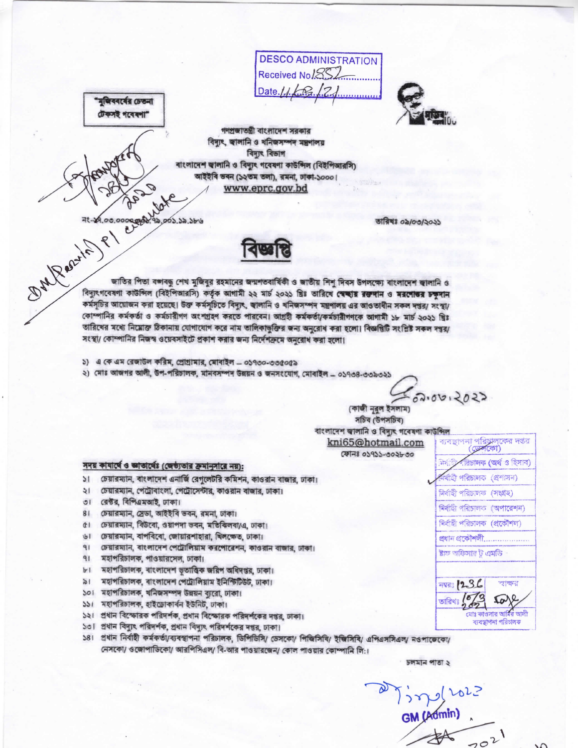**DESCO ADMINISTRATION** Received No/852 Date. $1.1$ .



গণপ্ৰজাতন্ত্ৰী বাংলাদেশ সরকার বিদ্যুৎ, জ্বালানি ও খনিজসম্পদ মন্ত্ৰণালয় বিদ্যুৎ বিভাগ বাংলাদেশ জ্বালানি ও বিদ্যুৎ গবেষণা কাউন্সিল (বিইপিআরসি) আইইবি ভবন (১২তম তলা), রমনা, ঢাকা-১০০০। www.eprc.gov.bd

তারিখঃ ০৯/০৩/২০২১

MARRAYLA PLANCE জাতির পিতা বঙ্গবন্ধু শেখ মুজিবুর রহমানের জন্মশতবার্ষিকী ও জাতীয় শিশ দিবস উপলক্ষ্যে বাংলাদেশ জ্বালানি ও বিদ্যুৎগবেষণা কাউন্সিল (বিইপিআরসি) কর্তৃক আগামী ২২ মার্চ ২০২১ খ্রিঃ তারিখে স্বেচ্ছার রক্তদান ও মরশেতুর চক্ষদান কর্মসূচির আয়োজন করা হয়েছে। উক্ত কর্মসূচিতে বিদ্যুৎ, জালানি ও খনিজসম্পদ মন্ত্রণালয় এর আওতাধীন সকল দশ্তর/ সংস্থা/ কোম্পানির কর্মকর্তা ও কর্মচারীগণ অংশগ্রহণ করতে পারবেন। আগ্রহী কর্মকর্তা/কর্মচারীগণকে আগামী ১৮ মার্চ ২০২১ শ্বিঃ তারিখের মধ্যে নিম্লোক্ত ঠিকানায় যোগাযোগ করে নাম তালিকাভুক্তির জন্য অনুরোধ করা হলো। বিজ্ঞপ্তিটি সংশ্লিষ্ট সকল দপ্তর/ সংস্থা/ কোম্পানির নিজস্ব ওয়েবসাইটে প্রকাশ করার জন্য নির্দেশক্রমে অনুরোধ করা হলো।

- ১) এ কে এম রেজাউল করিম, প্রোগ্রামার, মোবাইল ০১৭৩০-৩৩৫০৫৯
- ২) মোঃ আজগর আলী, উপ-পরিচালক, মানবসম্পদ উন্নয়ন ও জনসংযোগ, মোবাইল ০১৭৩৪-৩৩৯৩২১

 $-02.0012022$ 

জ্জা

ৰ্বাহী পৰিচালক (প্ৰশাসন)

নিৰ্বাহী পৰিচালক (অপাৱেশন)

নিৰ্বাহী পৰিচালক (প্ৰকৌশল)

প্ৰযান প্ৰকৌশলী..................

ষ্টাফ অফিসার ট এমডি

**THE 1236** 

তারিখঃ

নিৰ্বাহী পরিচালক (সংগ্ৰহ)

রিচালক (অর্থ ও হিসাব)

শ্বাক্ষর

to

.<br>যোঃ কাওদার আমির আলী

ব্যবন্ধাপনা পরিচালক

(কাজী নুরুল ইসলাম) সচিব (উপসচিব) বাংলাদেশ জ্বালানি ও বিদ্যুৎ গবেষণা কাউন্সিল ব্যবস্থাপনা পরিচালকের দঙর kni65@hotmail.com ফোনঃ ০১৭১১-৩০২৮৩০

## সদয় কাষার্থে ও জ্ঞাতার্থেঃ (জেষ্ঠ্যতার ক্রমানুসারে নয়):

- চেয়ারম্যান, বাংলাদেশ এনার্জি রেগুলেটরি কমিশন, কাওরান বাজার, ঢাকা।  $\mathcal{U}$
- চেয়ারম্যান, পেট্রোবাংলা, পেট্রোসেন্টার, কাওরান বাজার, ঢাকা। ২।
- রেক্টর, বিপিএমআই, ঢাকা।  $\overline{51}$

"মুজিবৰৰ্বের চেতনা টেকসই গবেষণা"

- চেয়ারম্যান, স্রেডা, আইইবি ভবন, রমনা, ঢাকা।  $81$
- ৫। চেয়ারম্যান, বিউরো, ওয়াপদা ভবন, মতিবিলবা/এ, ঢাকা।
- ৬। চেয়ারম্যান, বাপবিবো, জোয়ারশাহারা, খিলক্ষেত, ঢাকা।
- ৭। চেয়ারম্যান, বাংলাদেশ পেট্রোলিয়াম করপোরেশন, কাওরান বাজার, ঢাকা।
- মহাপরিচালক, পাওয়ারসেল, ঢাকা।  $91$
- ৮। মহাপরিচালক, বাংলাদেশ ভূতাত্ত্বিক জরিপ অধিদপ্তর, ঢাকা।
- মহাপরিচালক, বাংলাদেশ পেট্রোলিয়াম ইনিস্টিউট, ঢাকা।  $\geq 1$
- ১০। মহাপরিচালক, খনিজসম্পদ উন্নয়ন ব্যুরো, ঢাকা।
- ১১। মহাপরিচালক, হাইডোকার্বন ইউনিট, ঢাকা।
- ১২। প্রধান বিস্ফোরক পরিদর্শক, প্রধান বিস্ফোরক পরিদর্শকের দপ্তর, ঢাকা।
- ১৩। প্রধান বিদ্যুৎ পরিদর্শক, প্রধান বিদ্যুৎ পরিদর্শকের দপ্তর, ঢাকা।
- ১৪। প্রধান নির্বাহী কর্মকর্তা/ব্যবস্থাপনা পরিচালক, ডিশিডিসি/ ডেসকো/ পিজিসিবি/ ইজিসিবি/ এপিএসসিএল/ নওপাজেকো/ নেসকো/ ওজোপাডিকো/ আরপিসিএল/ বি-আর পাওয়ারজেন/ কোল পাওয়ার কোম্পানি লি:।

চলমান পাতা ২

GM (Admin)